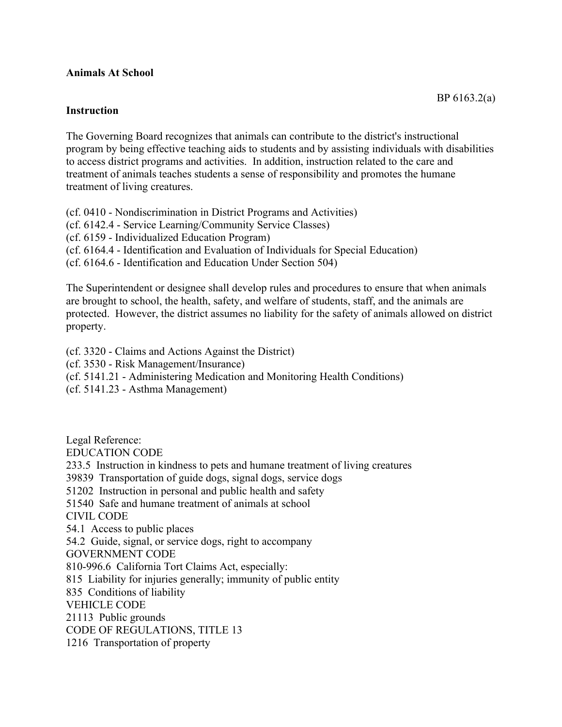## **Animals At School**

## **Instruction**

The Governing Board recognizes that animals can contribute to the district's instructional program by being effective teaching aids to students and by assisting individuals with disabilities to access district programs and activities. In addition, instruction related to the care and treatment of animals teaches students a sense of responsibility and promotes the humane treatment of living creatures.

(cf. 0410 - Nondiscrimination in District Programs and Activities)

(cf. 6142.4 - Service Learning/Community Service Classes)

(cf. 6159 - Individualized Education Program)

(cf. 6164.4 - Identification and Evaluation of Individuals for Special Education)

(cf. 6164.6 - Identification and Education Under Section 504)

The Superintendent or designee shall develop rules and procedures to ensure that when animals are brought to school, the health, safety, and welfare of students, staff, and the animals are protected. However, the district assumes no liability for the safety of animals allowed on district property.

(cf. 3320 - Claims and Actions Against the District)

(cf. 3530 - Risk Management/Insurance)

(cf. 5141.21 - Administering Medication and Monitoring Health Conditions)

(cf. 5141.23 - Asthma Management)

Legal Reference: EDUCATION CODE 233.5 Instruction in kindness to pets and humane treatment of living creatures 39839 Transportation of guide dogs, signal dogs, service dogs 51202 Instruction in personal and public health and safety 51540 Safe and humane treatment of animals at school CIVIL CODE 54.1 Access to public places 54.2 Guide, signal, or service dogs, right to accompany GOVERNMENT CODE 810-996.6 California Tort Claims Act, especially: 815 Liability for injuries generally; immunity of public entity 835 Conditions of liability VEHICLE CODE 21113 Public grounds CODE OF REGULATIONS, TITLE 13 1216 Transportation of property